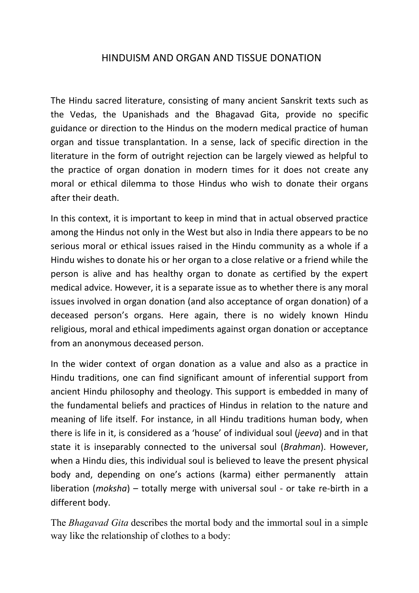## HINDUISM AND ORGAN AND TISSUE DONATION

The Hindu sacred literature, consisting of many ancient Sanskrit texts such as the Vedas, the Upanishads and the Bhagavad Gita, provide no specific guidance or direction to the Hindus on the modern medical practice of human organ and tissue transplantation. In a sense, lack of specific direction in the literature in the form of outright rejection can be largely viewed as helpful to the practice of organ donation in modern times for it does not create any moral or ethical dilemma to those Hindus who wish to donate their organs after their death.

In this context, it is important to keep in mind that in actual observed practice among the Hindus not only in the West but also in India there appears to be no serious moral or ethical issues raised in the Hindu community as a whole if a Hindu wishes to donate his or her organ to a close relative or a friend while the person is alive and has healthy organ to donate as certified by the expert medical advice. However, it is a separate issue as to whether there is any moral issues involved in organ donation (and also acceptance of organ donation) of a deceased person's organs. Here again, there is no widely known Hindu religious, moral and ethical impediments against organ donation or acceptance from an anonymous deceased person.

In the wider context of organ donation as a value and also as a practice in Hindu traditions, one can find significant amount of inferential support from ancient Hindu philosophy and theology. This support is embedded in many of the fundamental beliefs and practices of Hindus in relation to the nature and meaning of life itself. For instance, in all Hindu traditions human body, when there is life in it, is considered as a 'house' of individual soul (*jeeva*) and in that state it is inseparably connected to the universal soul (*Brahman*). However, when a Hindu dies, this individual soul is believed to leave the present physical body and, depending on one's actions (karma) either permanently attain liberation (*moksha*) – totally merge with universal soul - or take re-birth in a different body.

The *Bhagavad Gita* describes the mortal body and the immortal soul in a simple way like the relationship of clothes to a body: